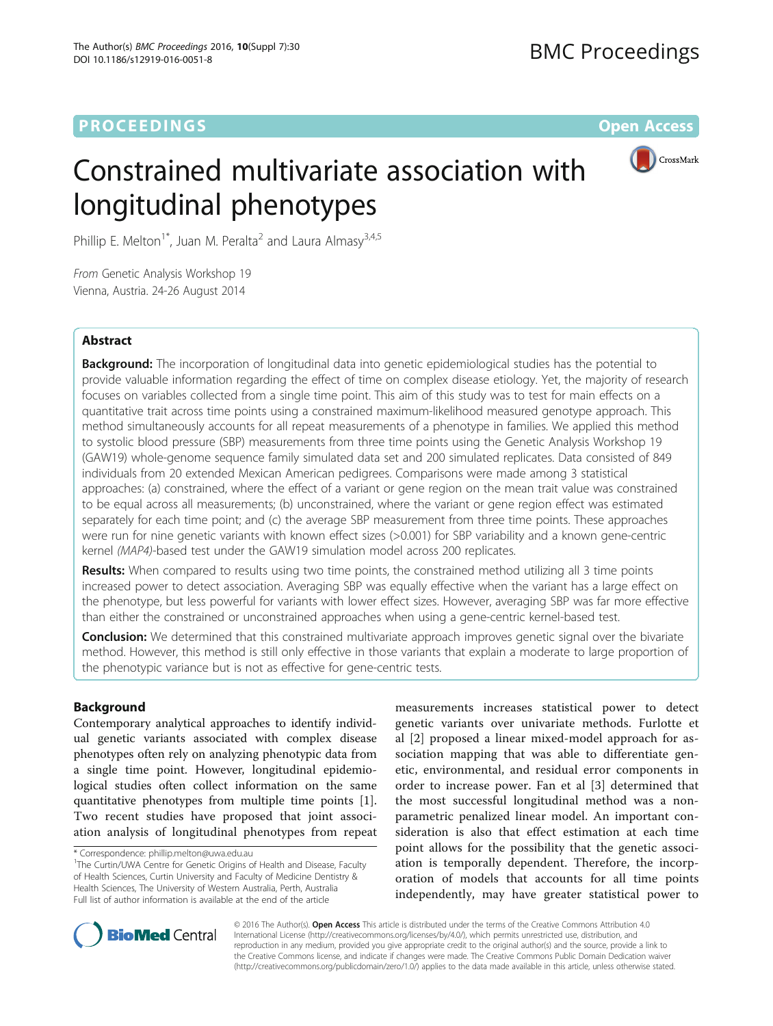# **PROCEEDINGS STATE ACCESS CONSUMING S** Open Access

CrossMark



Phillip E. Melton<sup>1\*</sup>, Juan M. Peralta<sup>2</sup> and Laura Almasy<sup>3,4,5</sup>

From Genetic Analysis Workshop 19 Vienna, Austria. 24-26 August 2014

## Abstract

**Background:** The incorporation of longitudinal data into genetic epidemiological studies has the potential to provide valuable information regarding the effect of time on complex disease etiology. Yet, the majority of research focuses on variables collected from a single time point. This aim of this study was to test for main effects on a quantitative trait across time points using a constrained maximum-likelihood measured genotype approach. This method simultaneously accounts for all repeat measurements of a phenotype in families. We applied this method to systolic blood pressure (SBP) measurements from three time points using the Genetic Analysis Workshop 19 (GAW19) whole-genome sequence family simulated data set and 200 simulated replicates. Data consisted of 849 individuals from 20 extended Mexican American pedigrees. Comparisons were made among 3 statistical approaches: (a) constrained, where the effect of a variant or gene region on the mean trait value was constrained to be equal across all measurements; (b) unconstrained, where the variant or gene region effect was estimated separately for each time point; and (c) the average SBP measurement from three time points. These approaches were run for nine genetic variants with known effect sizes (>0.001) for SBP variability and a known gene-centric kernel (MAP4)-based test under the GAW19 simulation model across 200 replicates.

**Results:** When compared to results using two time points, the constrained method utilizing all 3 time points increased power to detect association. Averaging SBP was equally effective when the variant has a large effect on the phenotype, but less powerful for variants with lower effect sizes. However, averaging SBP was far more effective than either the constrained or unconstrained approaches when using a gene-centric kernel-based test.

Conclusion: We determined that this constrained multivariate approach improves genetic signal over the bivariate method. However, this method is still only effective in those variants that explain a moderate to large proportion of the phenotypic variance but is not as effective for gene-centric tests.

# Background

Contemporary analytical approaches to identify individual genetic variants associated with complex disease phenotypes often rely on analyzing phenotypic data from a single time point. However, longitudinal epidemiological studies often collect information on the same quantitative phenotypes from multiple time points [\[1](#page-3-0)]. Two recent studies have proposed that joint association analysis of longitudinal phenotypes from repeat measurements increases statistical power to detect genetic variants over univariate methods. Furlotte et al [[2\]](#page-3-0) proposed a linear mixed-model approach for association mapping that was able to differentiate genetic, environmental, and residual error components in order to increase power. Fan et al [[3\]](#page-3-0) determined that the most successful longitudinal method was a nonparametric penalized linear model. An important consideration is also that effect estimation at each time point allows for the possibility that the genetic association is temporally dependent. Therefore, the incorporation of models that accounts for all time points independently, may have greater statistical power to



© 2016 The Author(s). Open Access This article is distributed under the terms of the Creative Commons Attribution 4.0 International License [\(http://creativecommons.org/licenses/by/4.0/](http://creativecommons.org/licenses/by/4.0/)), which permits unrestricted use, distribution, and reproduction in any medium, provided you give appropriate credit to the original author(s) and the source, provide a link to the Creative Commons license, and indicate if changes were made. The Creative Commons Public Domain Dedication waiver [\(http://creativecommons.org/publicdomain/zero/1.0/](http://creativecommons.org/publicdomain/zero/1.0/)) applies to the data made available in this article, unless otherwise stated.

<sup>\*</sup> Correspondence: [phillip.melton@uwa.edu.au](mailto:phillip.melton@uwa.edu.au) <sup>1</sup>

<sup>&</sup>lt;sup>1</sup>The Curtin/UWA Centre for Genetic Origins of Health and Disease, Faculty of Health Sciences, Curtin University and Faculty of Medicine Dentistry & Health Sciences, The University of Western Australia, Perth, Australia Full list of author information is available at the end of the article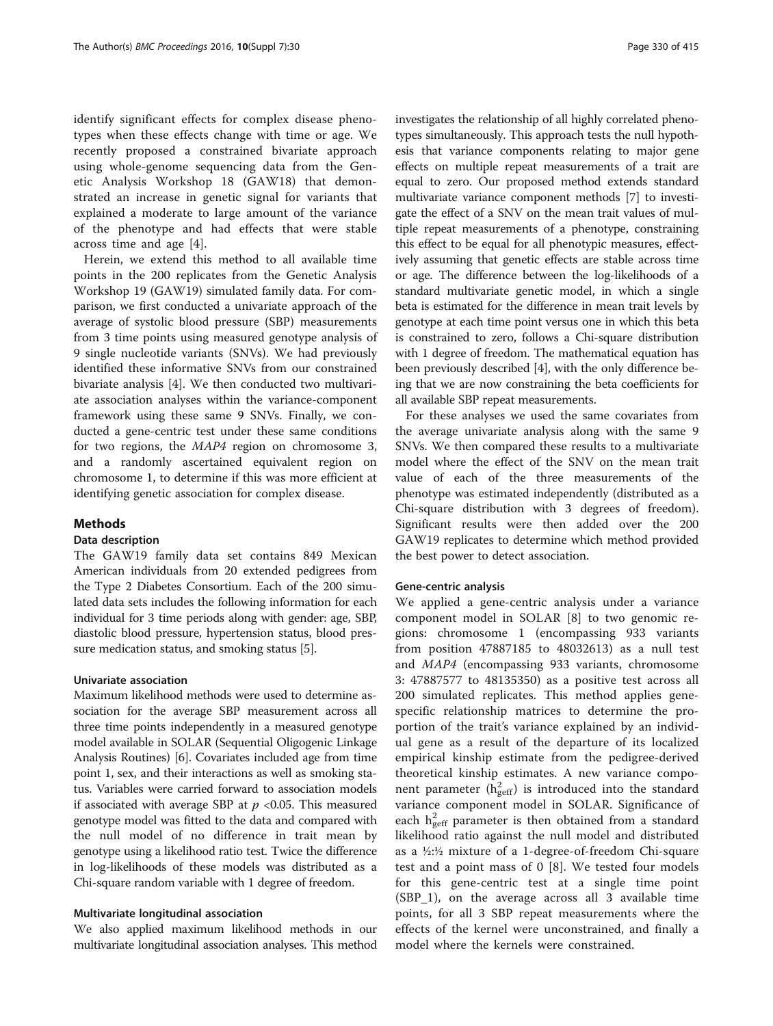identify significant effects for complex disease phenotypes when these effects change with time or age. We recently proposed a constrained bivariate approach using whole-genome sequencing data from the Genetic Analysis Workshop 18 (GAW18) that demonstrated an increase in genetic signal for variants that explained a moderate to large amount of the variance of the phenotype and had effects that were stable across time and age [[4](#page-3-0)].

Herein, we extend this method to all available time points in the 200 replicates from the Genetic Analysis Workshop 19 (GAW19) simulated family data. For comparison, we first conducted a univariate approach of the average of systolic blood pressure (SBP) measurements from 3 time points using measured genotype analysis of 9 single nucleotide variants (SNVs). We had previously identified these informative SNVs from our constrained bivariate analysis [[4\]](#page-3-0). We then conducted two multivariate association analyses within the variance-component framework using these same 9 SNVs. Finally, we conducted a gene-centric test under these same conditions for two regions, the MAP4 region on chromosome 3, and a randomly ascertained equivalent region on chromosome 1, to determine if this was more efficient at identifying genetic association for complex disease.

### Methods

### Data description

The GAW19 family data set contains 849 Mexican American individuals from 20 extended pedigrees from the Type 2 Diabetes Consortium. Each of the 200 simulated data sets includes the following information for each individual for 3 time periods along with gender: age, SBP, diastolic blood pressure, hypertension status, blood pressure medication status, and smoking status [\[5](#page-3-0)].

### Univariate association

Maximum likelihood methods were used to determine association for the average SBP measurement across all three time points independently in a measured genotype model available in SOLAR (Sequential Oligogenic Linkage Analysis Routines) [[6](#page-3-0)]. Covariates included age from time point 1, sex, and their interactions as well as smoking status. Variables were carried forward to association models if associated with average SBP at  $p$  <0.05. This measured genotype model was fitted to the data and compared with the null model of no difference in trait mean by genotype using a likelihood ratio test. Twice the difference in log-likelihoods of these models was distributed as a Chi-square random variable with 1 degree of freedom.

### Multivariate longitudinal association

We also applied maximum likelihood methods in our multivariate longitudinal association analyses. This method

investigates the relationship of all highly correlated phenotypes simultaneously. This approach tests the null hypothesis that variance components relating to major gene effects on multiple repeat measurements of a trait are equal to zero. Our proposed method extends standard multivariate variance component methods [\[7](#page-3-0)] to investigate the effect of a SNV on the mean trait values of multiple repeat measurements of a phenotype, constraining this effect to be equal for all phenotypic measures, effectively assuming that genetic effects are stable across time or age. The difference between the log-likelihoods of a standard multivariate genetic model, in which a single beta is estimated for the difference in mean trait levels by genotype at each time point versus one in which this beta is constrained to zero, follows a Chi-square distribution with 1 degree of freedom. The mathematical equation has been previously described [\[4](#page-3-0)], with the only difference being that we are now constraining the beta coefficients for all available SBP repeat measurements.

For these analyses we used the same covariates from the average univariate analysis along with the same 9 SNVs. We then compared these results to a multivariate model where the effect of the SNV on the mean trait value of each of the three measurements of the phenotype was estimated independently (distributed as a Chi-square distribution with 3 degrees of freedom). Significant results were then added over the 200 GAW19 replicates to determine which method provided the best power to detect association.

#### Gene-centric analysis

We applied a gene-centric analysis under a variance component model in SOLAR [\[8](#page-3-0)] to two genomic regions: chromosome 1 (encompassing 933 variants from position 47887185 to 48032613) as a null test and MAP4 (encompassing 933 variants, chromosome 3: 47887577 to 48135350) as a positive test across all 200 simulated replicates. This method applies genespecific relationship matrices to determine the proportion of the trait's variance explained by an individual gene as a result of the departure of its localized empirical kinship estimate from the pedigree-derived theoretical kinship estimates. A new variance component parameter ( $h_{\text{geff}}^2$ ) is introduced into the standard variance component model in SOLAR. Significance of each  $h_{\text{geff}}^2$  parameter is then obtained from a standard likelihood ratio against the null model and distributed as a ½:½ mixture of a 1-degree-of-freedom Chi-square test and a point mass of 0 [[8](#page-3-0)]. We tested four models for this gene-centric test at a single time point (SBP\_1), on the average across all 3 available time points, for all 3 SBP repeat measurements where the effects of the kernel were unconstrained, and finally a model where the kernels were constrained.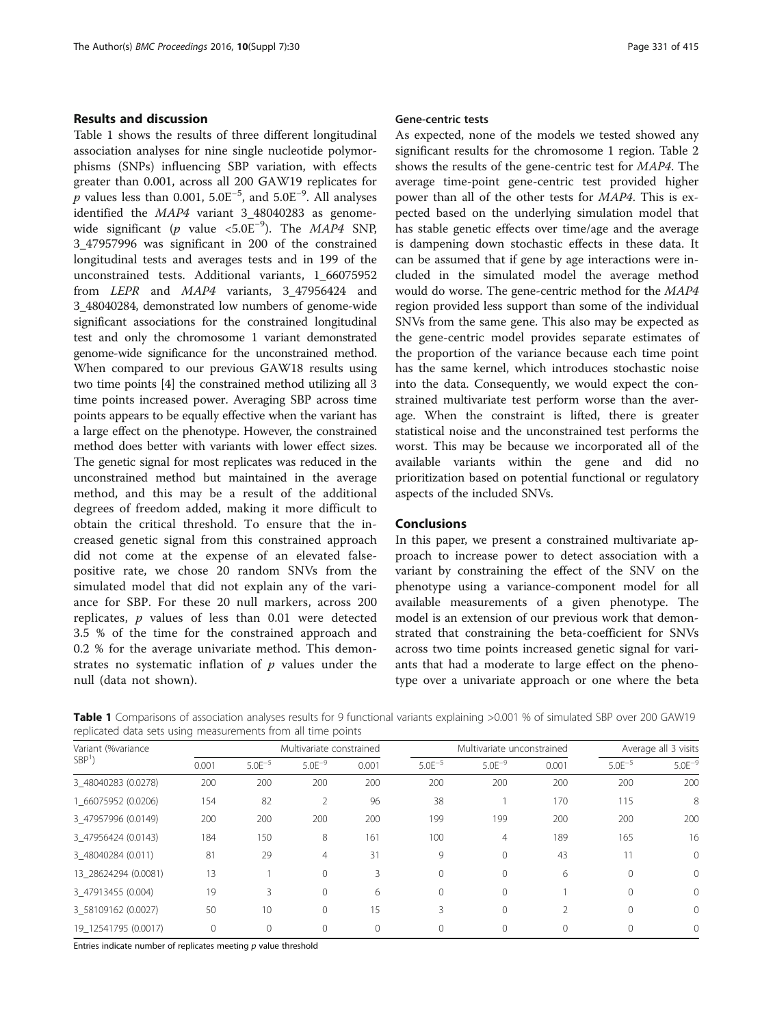### Results and discussion

Table 1 shows the results of three different longitudinal association analyses for nine single nucleotide polymorphisms (SNPs) influencing SBP variation, with effects greater than 0.001, across all 200 GAW19 replicates for p values less than 0.001,  $5.0E^{-5}$ , and  $5.0E^{-9}$ . All analyses identified the MAP4 variant 3\_48040283 as genomewide significant (p value <5.0E<sup>-9</sup>). The  $MAP4$  SNP, 3\_47957996 was significant in 200 of the constrained longitudinal tests and averages tests and in 199 of the unconstrained tests. Additional variants, 1\_66075952 from LEPR and MAP4 variants, 3\_47956424 and 3\_48040284, demonstrated low numbers of genome-wide significant associations for the constrained longitudinal test and only the chromosome 1 variant demonstrated genome-wide significance for the unconstrained method. When compared to our previous GAW18 results using two time points [\[4\]](#page-3-0) the constrained method utilizing all 3 time points increased power. Averaging SBP across time points appears to be equally effective when the variant has a large effect on the phenotype. However, the constrained method does better with variants with lower effect sizes. The genetic signal for most replicates was reduced in the unconstrained method but maintained in the average method, and this may be a result of the additional degrees of freedom added, making it more difficult to obtain the critical threshold. To ensure that the increased genetic signal from this constrained approach did not come at the expense of an elevated falsepositive rate, we chose 20 random SNVs from the simulated model that did not explain any of the variance for SBP. For these 20 null markers, across 200 replicates, p values of less than 0.01 were detected 3.5 % of the time for the constrained approach and 0.2 % for the average univariate method. This demonstrates no systematic inflation of  $p$  values under the null (data not shown).

### Gene-centric tests

As expected, none of the models we tested showed any significant results for the chromosome 1 region. Table [2](#page-3-0) shows the results of the gene-centric test for MAP4. The average time-point gene-centric test provided higher power than all of the other tests for MAP4. This is expected based on the underlying simulation model that has stable genetic effects over time/age and the average is dampening down stochastic effects in these data. It can be assumed that if gene by age interactions were included in the simulated model the average method would do worse. The gene-centric method for the MAP4 region provided less support than some of the individual SNVs from the same gene. This also may be expected as the gene-centric model provides separate estimates of the proportion of the variance because each time point has the same kernel, which introduces stochastic noise into the data. Consequently, we would expect the constrained multivariate test perform worse than the average. When the constraint is lifted, there is greater statistical noise and the unconstrained test performs the worst. This may be because we incorporated all of the available variants within the gene and did no prioritization based on potential functional or regulatory aspects of the included SNVs.

### Conclusions

In this paper, we present a constrained multivariate approach to increase power to detect association with a variant by constraining the effect of the SNV on the phenotype using a variance-component model for all available measurements of a given phenotype. The model is an extension of our previous work that demonstrated that constraining the beta-coefficient for SNVs across two time points increased genetic signal for variants that had a moderate to large effect on the phenotype over a univariate approach or one where the beta

Table 1 Comparisons of association analyses results for 9 functional variants explaining >0.001 % of simulated SBP over 200 GAW19 replicated data sets using measurements from all time points

| Variant (%variance<br>SBP <sup>1</sup> | Multivariate constrained |             |                |       | Multivariate unconstrained |             |          | Average all 3 visits |             |
|----------------------------------------|--------------------------|-------------|----------------|-------|----------------------------|-------------|----------|----------------------|-------------|
|                                        | 0.001                    | $5.0E^{-5}$ | $5.0E^{-9}$    | 0.001 | $5.0E^{-5}$                | $5.0E^{-9}$ | 0.001    | $5.0E^{-5}$          | $5.0E^{-9}$ |
| 3_48040283 (0.0278)                    | 200                      | 200         | 200            | 200   | 200                        | 200         | 200      | 200                  | 200         |
| 1_66075952 (0.0206)                    | 154                      | 82          | 2              | 96    | 38                         |             | 170      | 115                  | 8           |
| 3 47957996 (0.0149)                    | 200                      | 200         | 200            | 200   | 199                        | 199         | 200      | 200                  | 200         |
| 3_47956424 (0.0143)                    | 184                      | 150         | 8              | 161   | 100                        | 4           | 189      | 165                  | 16          |
| 3 48040284 (0.011)                     | 81                       | 29          | $\overline{4}$ | 31    | 9                          | $\circ$     | 43       | 11                   | 0           |
| 13 28624294 (0.0081)                   | 13                       |             | $\mathbf{0}$   | 3     | 0                          | $\Omega$    | 6        | $\Omega$             | $\Omega$    |
| 3_47913455 (0.004)                     | 19                       | 3           | $\mathbf{0}$   | 6     | 0                          | $\circ$     |          | $\circ$              | 0           |
| 3 58109162 (0.0027)                    | 50                       | 10          | $\Omega$       | 15    | 3                          | $\Omega$    |          | $\Omega$             | $\Omega$    |
| 19_12541795 (0.0017)                   | 0                        | $\Omega$    | $\Omega$       | 0     | 0                          | 0           | $\Omega$ | 0                    | 0           |

Entries indicate number of replicates meeting  $p$  value threshold